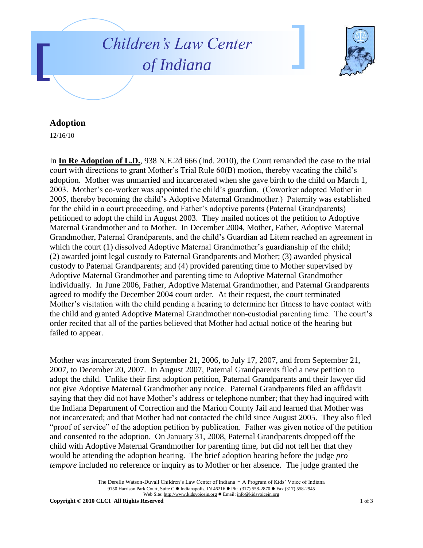



## **Adoption**

12/16/10

In **In Re Adoption of L.D.**, 938 N.E.2d 666 (Ind. 2010), the Court remanded the case to the trial court with directions to grant Mother's Trial Rule 60(B) motion, thereby vacating the child's adoption. Mother was unmarried and incarcerated when she gave birth to the child on March 1, 2003. Mother's co-worker was appointed the child's guardian. (Coworker adopted Mother in 2005, thereby becoming the child's Adoptive Maternal Grandmother.) Paternity was established for the child in a court proceeding, and Father's adoptive parents (Paternal Grandparents) petitioned to adopt the child in August 2003. They mailed notices of the petition to Adoptive Maternal Grandmother and to Mother. In December 2004, Mother, Father, Adoptive Maternal Grandmother, Paternal Grandparents, and the child's Guardian ad Litem reached an agreement in which the court (1) dissolved Adoptive Maternal Grandmother's guardianship of the child; (2) awarded joint legal custody to Paternal Grandparents and Mother; (3) awarded physical custody to Paternal Grandparents; and (4) provided parenting time to Mother supervised by Adoptive Maternal Grandmother and parenting time to Adoptive Maternal Grandmother individually. In June 2006, Father, Adoptive Maternal Grandmother, and Paternal Grandparents agreed to modify the December 2004 court order. At their request, the court terminated Mother's visitation with the child pending a hearing to determine her fitness to have contact with the child and granted Adoptive Maternal Grandmother non-custodial parenting time. The court's order recited that all of the parties believed that Mother had actual notice of the hearing but failed to appear.

Mother was incarcerated from September 21, 2006, to July 17, 2007, and from September 21, 2007, to December 20, 2007. In August 2007, Paternal Grandparents filed a new petition to adopt the child. Unlike their first adoption petition, Paternal Grandparents and their lawyer did not give Adoptive Maternal Grandmother any notice. Paternal Grandparents filed an affidavit saying that they did not have Mother's address or telephone number; that they had inquired with the Indiana Department of Correction and the Marion County Jail and learned that Mother was not incarcerated; and that Mother had not contacted the child since August 2005. They also filed "proof of service" of the adoption petition by publication. Father was given notice of the petition and consented to the adoption. On January 31, 2008, Paternal Grandparents dropped off the child with Adoptive Maternal Grandmother for parenting time, but did not tell her that they would be attending the adoption hearing. The brief adoption hearing before the judge *pro tempore* included no reference or inquiry as to Mother or her absence. The judge granted the

> The Derelle Watson-Duvall Children's Law Center of Indiana - A Program of Kids' Voice of Indiana 9150 Harrison Park Court, Suite C · Indianapolis, IN 46216 · Ph: (317) 558-2870 · Fax (317) 558-2945 Web Site: http://www.kidsvoicein.org · Email: info@kidsvoicein.org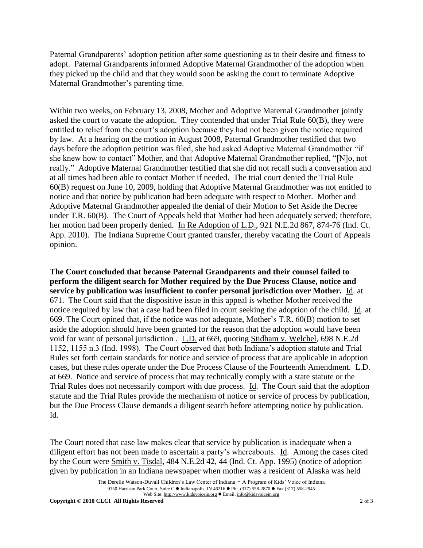Paternal Grandparents' adoption petition after some questioning as to their desire and fitness to adopt. Paternal Grandparents informed Adoptive Maternal Grandmother of the adoption when they picked up the child and that they would soon be asking the court to terminate Adoptive Maternal Grandmother's parenting time.

Within two weeks, on February 13, 2008, Mother and Adoptive Maternal Grandmother jointly asked the court to vacate the adoption. They contended that under Trial Rule 60(B), they were entitled to relief from the court's adoption because they had not been given the notice required by law. At a hearing on the motion in August 2008, Paternal Grandmother testified that two days before the adoption petition was filed, she had asked Adoptive Maternal Grandmother "if she knew how to contact" Mother, and that Adoptive Maternal Grandmother replied, "[N]o, not really." Adoptive Maternal Grandmother testified that she did not recall such a conversation and at all times had been able to contact Mother if needed. The trial court denied the Trial Rule 60(B) request on June 10, 2009, holding that Adoptive Maternal Grandmother was not entitled to notice and that notice by publication had been adequate with respect to Mother. Mother and Adoptive Maternal Grandmother appealed the denial of their Motion to Set Aside the Decree under T.R. 60(B). The Court of Appeals held that Mother had been adequately served; therefore, her motion had been properly denied. In Re Adoption of L.D., 921 N.E.2d 867, 874-76 (Ind. Ct. App. 2010). The Indiana Supreme Court granted transfer, thereby vacating the Court of Appeals opinion.

**The Court concluded that because Paternal Grandparents and their counsel failed to perform the diligent search for Mother required by the Due Process Clause, notice and service by publication was insufficient to confer personal jurisdiction over Mother.** Id. at 671. The Court said that the dispositive issue in this appeal is whether Mother received the notice required by law that a case had been filed in court seeking the adoption of the child. Id. at 669. The Court opined that, if the notice was not adequate, Mother's T.R. 60(B) motion to set aside the adoption should have been granted for the reason that the adoption would have been void for want of personal jurisdiction . L.D. at 669, quoting Stidham v. Welchel, 698 N.E.2d 1152, 1155 n.3 (Ind. 1998). The Court observed that both Indiana's adoption statute and Trial Rules set forth certain standards for notice and service of process that are applicable in adoption cases, but these rules operate under the Due Process Clause of the Fourteenth Amendment. L.D. at 669. Notice and service of process that may technically comply with a state statute or the Trial Rules does not necessarily comport with due process. Id. The Court said that the adoption statute and the Trial Rules provide the mechanism of notice or service of process by publication, but the Due Process Clause demands a diligent search before attempting notice by publication. Id.

The Court noted that case law makes clear that service by publication is inadequate when a diligent effort has not been made to ascertain a party's whereabouts. Id. Among the cases cited by the Court were Smith v. Tisdal, 484 N.E.2d 42, 44 (Ind. Ct. App. 1995) (notice of adoption given by publication in an Indiana newspaper when mother was a resident of Alaska was held

The Derelle Watson-Duvall Children's Law Center of Indiana - A Program of Kids' Voice of Indiana 9150 Harrison Park Court, Suite C · Indianapolis, IN 46216 • Ph: (317) 558-2870 • Fax (317) 558-2945 Web Site: http://www.kidsvoicein.org · Email: info@kidsvoicein.org